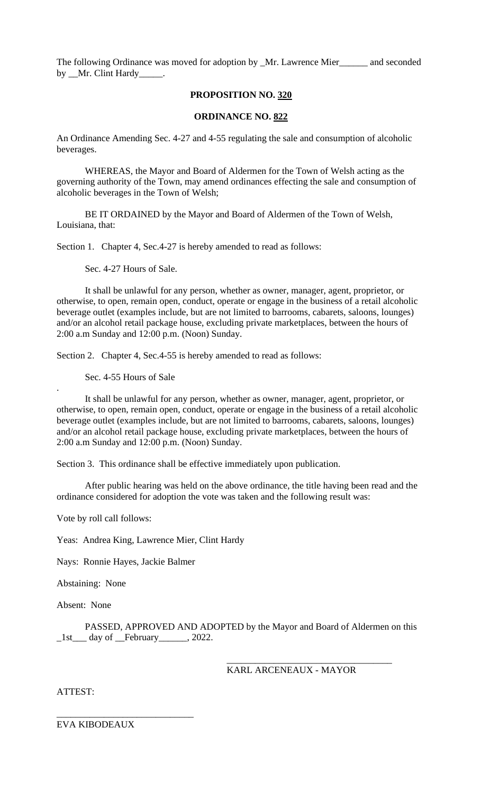The following Ordinance was moved for adoption by \_Mr. Lawrence Mier\_\_\_\_\_\_ and seconded by \_\_Mr. Clint Hardy\_\_\_\_

## **PROPOSITION NO. 320**

## **ORDINANCE NO. 822**

An Ordinance Amending Sec. 4-27 and 4-55 regulating the sale and consumption of alcoholic beverages.

WHEREAS, the Mayor and Board of Aldermen for the Town of Welsh acting as the governing authority of the Town, may amend ordinances effecting the sale and consumption of alcoholic beverages in the Town of Welsh;

BE IT ORDAINED by the Mayor and Board of Aldermen of the Town of Welsh, Louisiana, that:

Section 1. Chapter 4, Sec. 4-27 is hereby amended to read as follows:

Sec. 4-27 Hours of Sale.

It shall be unlawful for any person, whether as owner, manager, agent, proprietor, or otherwise, to open, remain open, conduct, operate or engage in the business of a retail alcoholic beverage outlet (examples include, but are not limited to barrooms, cabarets, saloons, lounges) and/or an alcohol retail package house, excluding private marketplaces, between the hours of 2:00 a.m Sunday and 12:00 p.m. (Noon) Sunday.

Section 2. Chapter 4, Sec. 4-55 is hereby amended to read as follows:

Sec. 4-55 Hours of Sale

It shall be unlawful for any person, whether as owner, manager, agent, proprietor, or otherwise, to open, remain open, conduct, operate or engage in the business of a retail alcoholic beverage outlet (examples include, but are not limited to barrooms, cabarets, saloons, lounges) and/or an alcohol retail package house, excluding private marketplaces, between the hours of 2:00 a.m Sunday and 12:00 p.m. (Noon) Sunday.

Section 3. This ordinance shall be effective immediately upon publication.

After public hearing was held on the above ordinance, the title having been read and the ordinance considered for adoption the vote was taken and the following result was:

Vote by roll call follows:

Yeas: Andrea King, Lawrence Mier, Clint Hardy

Nays: Ronnie Hayes, Jackie Balmer

\_\_\_\_\_\_\_\_\_\_\_\_\_\_\_\_\_\_\_\_\_\_\_\_\_\_\_\_\_

Abstaining: None

Absent: None

.

PASSED, APPROVED AND ADOPTED by the Mayor and Board of Aldermen on this  $_1$ st $_$  day of  $_$ February $_$ , 2022.

KARL ARCENEAUX - MAYOR

\_\_\_\_\_\_\_\_\_\_\_\_\_\_\_\_\_\_\_\_\_\_\_\_\_\_\_\_\_\_\_\_\_\_\_

ATTEST:

EVA KIBODEAUX